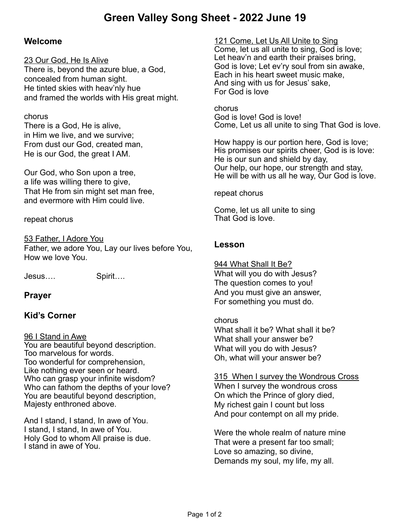# **Green Valley Song Sheet - 2022 June 19**

### **Welcome**

#### 23 Our God, He Is Alive

There is, beyond the azure blue, a God, concealed from human sight. He tinted skies with heav'nly hue and framed the worlds with His great might.

#### chorus

There is a God, He is alive, in Him we live, and we survive; From dust our God, created man, He is our God, the great I AM.

Our God, who Son upon a tree, a life was willing there to give, That He from sin might set man free, and evermore with Him could live.

#### repeat chorus

53 Father, I Adore You

Father, we adore You, Lay our lives before You, How we love You.

Jesus…. Spirit….

#### **Prayer**

### **Kid's Corner**

#### 96 I Stand in Awe

You are beautiful beyond description. Too marvelous for words. Too wonderful for comprehension, Like nothing ever seen or heard. Who can grasp your infinite wisdom? Who can fathom the depths of your love? You are beautiful beyond description, Majesty enthroned above.

And I stand, I stand, In awe of You. I stand, I stand, In awe of You. Holy God to whom All praise is due. I stand in awe of You.

121 Come, Let Us All Unite to Sing

Come, let us all unite to sing, God is love; Let heav'n and earth their praises bring, God is love; Let ev'ry soul from sin awake, Each in his heart sweet music make, And sing with us for Jesus' sake, For God is love

chorus God is love! God is love! Come, Let us all unite to sing That God is love.

How happy is our portion here, God is love; His promises our spirits cheer, God is is love: He is our sun and shield by day, Our help, our hope, our strength and stay, He will be with us all he way, Our God is love.

repeat chorus

Come, let us all unite to sing That God is love.

### **Lesson**

944 What Shall It Be? What will you do with Jesus? The question comes to you! And you must give an answer, For something you must do.

#### chorus

What shall it be? What shall it be? What shall your answer be? What will you do with Jesus? Oh, what will your answer be?

#### 315 When I survey the Wondrous Cross

When I survey the wondrous cross On which the Prince of glory died, My richest gain I count but loss And pour contempt on all my pride.

Were the whole realm of nature mine That were a present far too small; Love so amazing, so divine, Demands my soul, my life, my all.